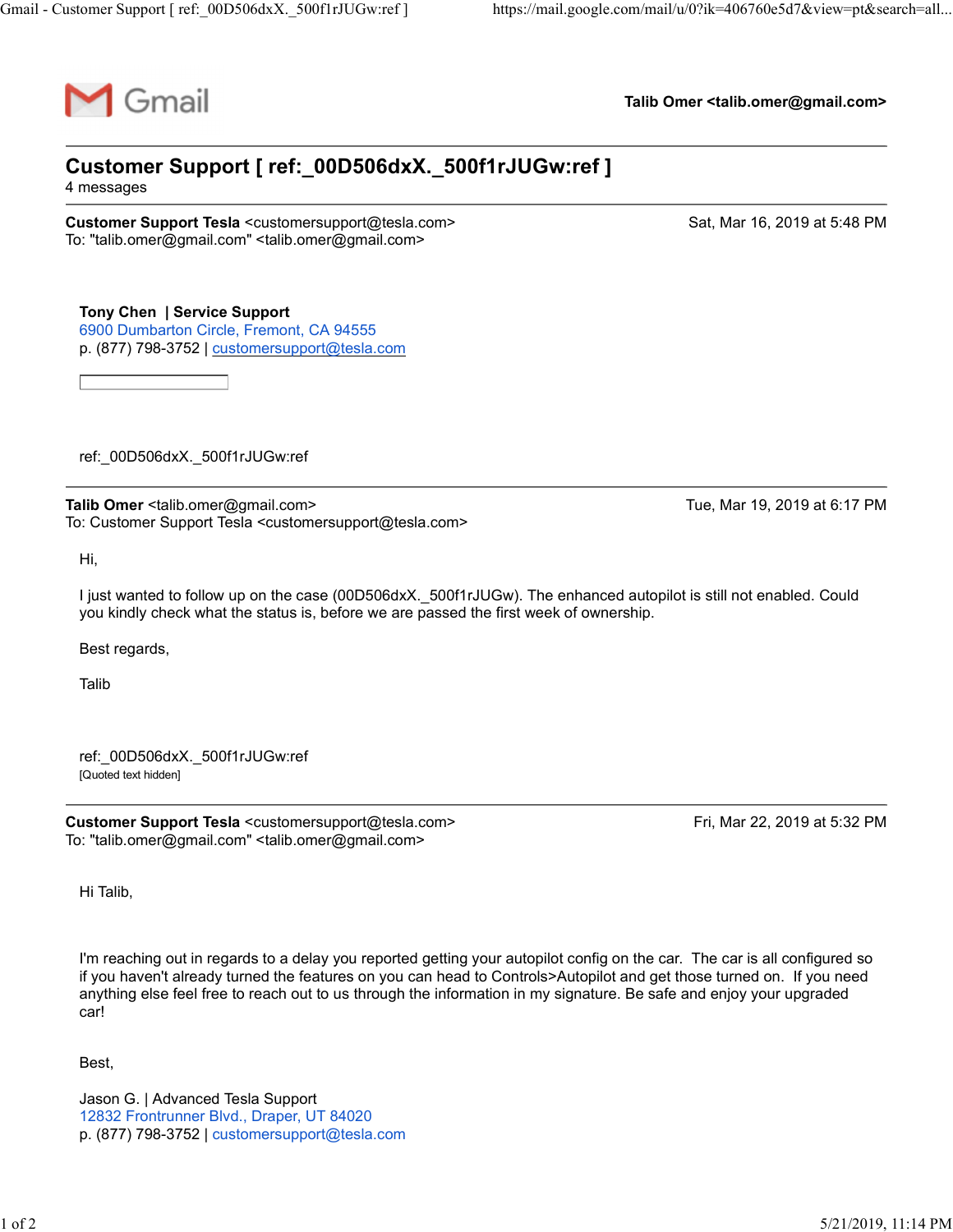

Talib Omer <talib.omer@gmail.com>

## Customer Support [ ref:\_00D506dxX.\_500f1rJUGw:ref ] ustomer Support [ref:\_00D506dxX.\_500f1rJUGw:ref]<br>
Falib Omer <talib.omer@gmail.com><br>
Customer Support [ref:\_00D506dxX.\_500f1rJUGw:ref]<br>
Talib Omer <talib.omer@gmail.com><br>
Talib Omer <talib.omer@gmail.com><br>
To: "talib.omer@ Talib Omer <talib.omer@gmail.com><br>
Customer Support [ref:\_00D506dxX.\_500f1rJUGw:ref]<br>
4 messages<br>
Customer Support Tesla <customer@gmail.com><br>
To: "talib.omer@gmail.com" "<talib.omer@gmail.com><br>
To: Chick Calib.omer Suppor

4 messages

To: "talib.omer@gmail.com" <talib.omer@gmail.com>

Tony Chen | Service Support 6900 Dumbarton Circle, Fremont, CA 94555 p. (877) 798-3752 | customersupport@tesla.com

ref:\_00D506dxX.\_500f1rJUGw:ref

To: Customer Support Tesla <customersupport@tesla.com>

Hi,

I just wanted to follow up on the case (00D506dxX.\_500f1rJUGw). The enhanced autopilot is still not enabled. Could you kindly check what the status is, before we are passed the first week of ownership. ref\_00D506dxX\_500f1rJUGw:ref<br>
Talib Omer <talib.omer@gmail.com><br>
Cic. Customer Support Tesla <customersupport@tesla.com><br>
Hi,<br>
Hi,<br>
Uust vanted to follow up on the case (00D506dxX\_500f1rJUGw). The enhanced autopilot is sti

Best regards,

Talib **Talibus and the Community of the Community** 

ref:\_00D506dxX.\_500f1rJUGw:ref [Quoted text hidden]

To: "talib.omer@gmail.com" <talib.omer@gmail.com>

Hi Talib,

I'm reaching out in regards to a delay you reported getting your autopilot config on the car. The car is all configured so if you haven't already turned the features on you can head to Controls>Autopilot and get those turned on. If you need anything else feel free to reach out to us through the information in my signature. Be safe and enjoy your upgraded car!

Best,

Jason G. | Advanced Tesla Support 12832 Frontrunner Blvd., Draper, UT 84020 p. (877) 798-3752 | customersupport@tesla.com